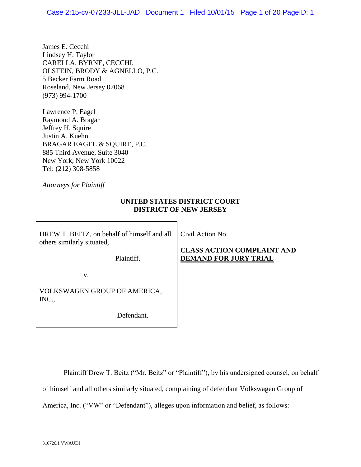James E. Cecchi Lindsey H. Taylor CARELLA, BYRNE, CECCHI, OLSTEIN, BRODY & AGNELLO, P.C. 5 Becker Farm Road Roseland, New Jersey 07068 (973) 994-1700

Lawrence P. Eagel Raymond A. Bragar Jeffrey H. Squire Justin A. Kuehn BRAGAR EAGEL & SQUIRE, P.C. 885 Third Avenue, Suite 3040 New York, New York 10022 Tel: (212) 308-5858

*Attorneys for Plaintiff*

## **UNITED STATES DISTRICT COURT DISTRICT OF NEW JERSEY**

DREW T. BEITZ, on behalf of himself and all others similarly situated,

Civil Action No.

Plaintiff,

## **CLASS ACTION COMPLAINT AND DEMAND FOR JURY TRIAL**

v.

VOLKSWAGEN GROUP OF AMERICA, INC.,

Defendant.

Plaintiff Drew T. Beitz ("Mr. Beitz" or "Plaintiff"), by his undersigned counsel, on behalf

of himself and all others similarly situated, complaining of defendant Volkswagen Group of

America, Inc. ("VW" or "Defendant"), alleges upon information and belief, as follows: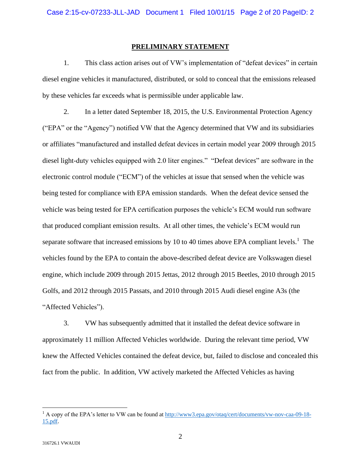## **PRELIMINARY STATEMENT**

1. This class action arises out of VW's implementation of "defeat devices" in certain diesel engine vehicles it manufactured, distributed, or sold to conceal that the emissions released by these vehicles far exceeds what is permissible under applicable law.

2. In a letter dated September 18, 2015, the U.S. Environmental Protection Agency ("EPA" or the "Agency") notified VW that the Agency determined that VW and its subsidiaries or affiliates "manufactured and installed defeat devices in certain model year 2009 through 2015 diesel light-duty vehicles equipped with 2.0 liter engines." "Defeat devices" are software in the electronic control module ("ECM") of the vehicles at issue that sensed when the vehicle was being tested for compliance with EPA emission standards. When the defeat device sensed the vehicle was being tested for EPA certification purposes the vehicle's ECM would run software that produced compliant emission results. At all other times, the vehicle's ECM would run separate software that increased emissions by 10 to 40 times above EPA compliant levels.<sup>1</sup> The vehicles found by the EPA to contain the above-described defeat device are Volkswagen diesel engine, which include 2009 through 2015 Jettas, 2012 through 2015 Beetles, 2010 through 2015 Golfs, and 2012 through 2015 Passats, and 2010 through 2015 Audi diesel engine A3s (the "Affected Vehicles").

3. VW has subsequently admitted that it installed the defeat device software in approximately 11 million Affected Vehicles worldwide. During the relevant time period, VW knew the Affected Vehicles contained the defeat device, but, failed to disclose and concealed this fact from the public. In addition, VW actively marketed the Affected Vehicles as having

 $\overline{a}$ 

<sup>&</sup>lt;sup>1</sup> A copy of the EPA's letter to VW can be found at [http://www3.epa.gov/otaq/cert/documents/vw-nov-caa-09-18-](www3.epa.gov/otaq/cert/documents/vw-nov-caa-09-18-15.pdf) [15.pdf.](www3.epa.gov/otaq/cert/documents/vw-nov-caa-09-18-15.pdf)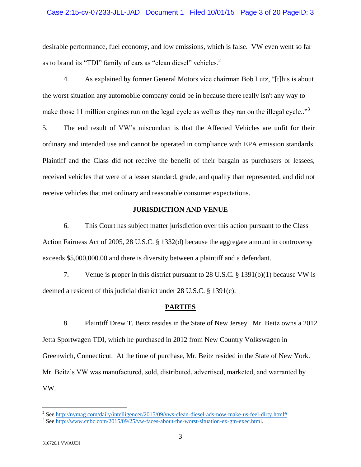## Case 2:15-cv-07233-JLL-JAD Document 1 Filed 10/01/15 Page 3 of 20 PageID: 3

desirable performance, fuel economy, and low emissions, which is false. VW even went so far as to brand its "TDI" family of cars as "clean diesel" vehicles.<sup>2</sup>

4. As explained by former General Motors vice chairman Bob Lutz, "[t]his is about the worst situation any automobile company could be in because there really isn't any way to make those 11 million engines run on the legal cycle as well as they ran on the illegal cycle.."<sup>3</sup>

5. The end result of VW's misconduct is that the Affected Vehicles are unfit for their ordinary and intended use and cannot be operated in compliance with EPA emission standards. Plaintiff and the Class did not receive the benefit of their bargain as purchasers or lessees, received vehicles that were of a lesser standard, grade, and quality than represented, and did not receive vehicles that met ordinary and reasonable consumer expectations.

## **JURISDICTION AND VENUE**

6. This Court has subject matter jurisdiction over this action pursuant to the Class Action Fairness Act of 2005, 28 U.S.C. § 1332(d) because the aggregate amount in controversy exceeds \$5,000,000.00 and there is diversity between a plaintiff and a defendant.

7. Venue is proper in this district pursuant to 28 U.S.C. § 1391(b)(1) because VW is deemed a resident of this judicial district under 28 U.S.C. § 1391(c).

## **PARTIES**

8. Plaintiff Drew T. Beitz resides in the State of New Jersey. Mr. Beitz owns a 2012 Jetta Sportwagen TDI, which he purchased in 2012 from New Country Volkswagen in Greenwich, Connecticut. At the time of purchase, Mr. Beitz resided in the State of New York. Mr. Beitz's VW was manufactured, sold, distributed, advertised, marketed, and warranted by VW.

 2 Se[e http://nymag.com/daily/intelligencer/2015/09/vws-clean-diesel-ads-now-make-us-feel-dirty.html#.](http://nymag.com/daily/intelligencer/2015/09/vws-clean-diesel-ads-now-make-us-feel-dirty.html)

<sup>&</sup>lt;sup>3</sup> Se[e http://www.cnbc.com/2015/09/25/vw-faces-about-the-worst-situation-ex-gm-exec.html.](http://www.cnbc.com/2015/09/25/vw-faces-about-the-worst-situation-ex-gm-exec.html)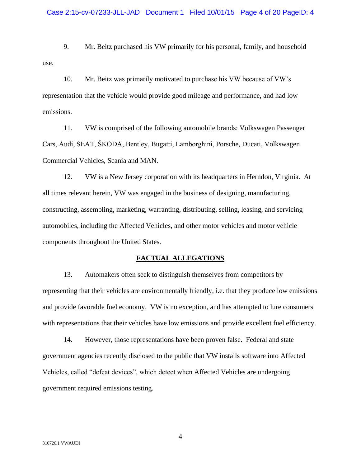9. Mr. Beitz purchased his VW primarily for his personal, family, and household use.

10. Mr. Beitz was primarily motivated to purchase his VW because of VW's representation that the vehicle would provide good mileage and performance, and had low emissions.

11. VW is comprised of the following automobile brands: Volkswagen Passenger Cars, Audi, SEAT, ŠKODA, Bentley, Bugatti, Lamborghini, Porsche, Ducati, Volkswagen Commercial Vehicles, Scania and MAN.

12. VW is a New Jersey corporation with its headquarters in Herndon, Virginia. At all times relevant herein, VW was engaged in the business of designing, manufacturing, constructing, assembling, marketing, warranting, distributing, selling, leasing, and servicing automobiles, including the Affected Vehicles, and other motor vehicles and motor vehicle components throughout the United States.

## **FACTUAL ALLEGATIONS**

13. Automakers often seek to distinguish themselves from competitors by representing that their vehicles are environmentally friendly, i.e. that they produce low emissions and provide favorable fuel economy. VW is no exception, and has attempted to lure consumers with representations that their vehicles have low emissions and provide excellent fuel efficiency.

14. However, those representations have been proven false. Federal and state government agencies recently disclosed to the public that VW installs software into Affected Vehicles, called "defeat devices", which detect when Affected Vehicles are undergoing government required emissions testing.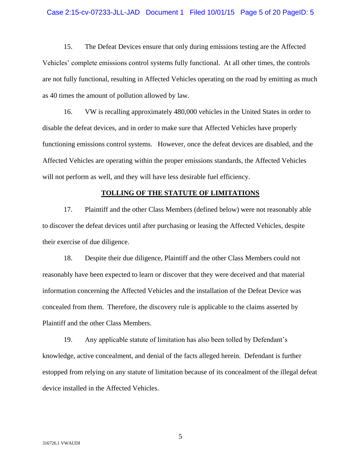## Case 2:15-cv-07233-JLL-JAD Document 1 Filed 10/01/15 Page 5 of 20 PageID: 5

15. The Defeat Devices ensure that only during emissions testing are the Affected Vehicles' complete emissions control systems fully functional. At all other times, the controls are not fully functional, resulting in Affected Vehicles operating on the road by emitting as much as 40 times the amount of pollution allowed by law.

16. VW is recalling approximately 480,000 vehicles in the United States in order to disable the defeat devices, and in order to make sure that Affected Vehicles have properly functioning emissions control systems. However, once the defeat devices are disabled, and the Affected Vehicles are operating within the proper emissions standards, the Affected Vehicles will not perform as well, and they will have less desirable fuel efficiency.

#### **TOLLING OF THE STATUTE OF LIMITATIONS**

17. Plaintiff and the other Class Members (defined below) were not reasonably able to discover the defeat devices until after purchasing or leasing the Affected Vehicles, despite their exercise of due diligence.

18. Despite their due diligence, Plaintiff and the other Class Members could not reasonably have been expected to learn or discover that they were deceived and that material information concerning the Affected Vehicles and the installation of the Defeat Device was concealed from them. Therefore, the discovery rule is applicable to the claims asserted by Plaintiff and the other Class Members.

19. Any applicable statute of limitation has also been tolled by Defendant's knowledge, active concealment, and denial of the facts alleged herein. Defendant is further estopped from relying on any statute of limitation because of its concealment of the illegal defeat device installed in the Affected Vehicles.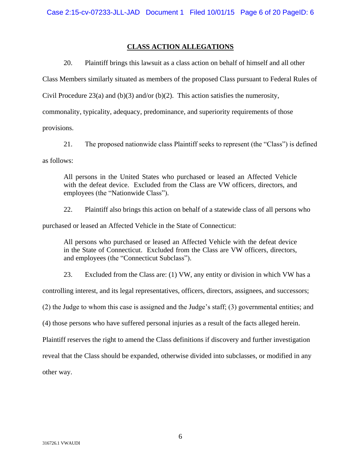## **CLASS ACTION ALLEGATIONS**

20. Plaintiff brings this lawsuit as a class action on behalf of himself and all other

Class Members similarly situated as members of the proposed Class pursuant to Federal Rules of

Civil Procedure 23(a) and (b)(3) and/or (b)(2). This action satisfies the numerosity,

commonality, typicality, adequacy, predominance, and superiority requirements of those

provisions.

21. The proposed nationwide class Plaintiff seeks to represent (the "Class") is defined as follows:

All persons in the United States who purchased or leased an Affected Vehicle with the defeat device. Excluded from the Class are VW officers, directors, and employees (the "Nationwide Class").

22. Plaintiff also brings this action on behalf of a statewide class of all persons who

purchased or leased an Affected Vehicle in the State of Connecticut:

All persons who purchased or leased an Affected Vehicle with the defeat device in the State of Connecticut. Excluded from the Class are VW officers, directors, and employees (the "Connecticut Subclass").

23. Excluded from the Class are: (1) VW, any entity or division in which VW has a

controlling interest, and its legal representatives, officers, directors, assignees, and successors;

(2) the Judge to whom this case is assigned and the Judge's staff; (3) governmental entities; and

(4) those persons who have suffered personal injuries as a result of the facts alleged herein.

Plaintiff reserves the right to amend the Class definitions if discovery and further investigation

reveal that the Class should be expanded, otherwise divided into subclasses, or modified in any

other way.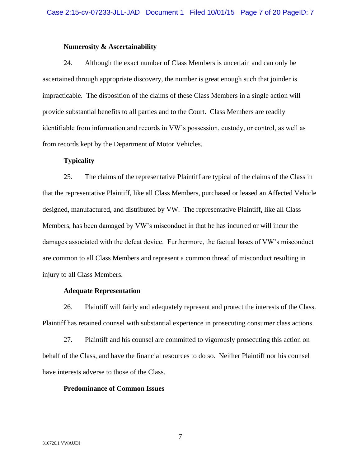## **Numerosity & Ascertainability**

24. Although the exact number of Class Members is uncertain and can only be ascertained through appropriate discovery, the number is great enough such that joinder is impracticable. The disposition of the claims of these Class Members in a single action will provide substantial benefits to all parties and to the Court. Class Members are readily identifiable from information and records in VW's possession, custody, or control, as well as from records kept by the Department of Motor Vehicles.

## **Typicality**

25. The claims of the representative Plaintiff are typical of the claims of the Class in that the representative Plaintiff, like all Class Members, purchased or leased an Affected Vehicle designed, manufactured, and distributed by VW. The representative Plaintiff, like all Class Members, has been damaged by VW's misconduct in that he has incurred or will incur the damages associated with the defeat device. Furthermore, the factual bases of VW's misconduct are common to all Class Members and represent a common thread of misconduct resulting in injury to all Class Members.

## **Adequate Representation**

26. Plaintiff will fairly and adequately represent and protect the interests of the Class. Plaintiff has retained counsel with substantial experience in prosecuting consumer class actions.

27. Plaintiff and his counsel are committed to vigorously prosecuting this action on behalf of the Class, and have the financial resources to do so. Neither Plaintiff nor his counsel have interests adverse to those of the Class.

## **Predominance of Common Issues**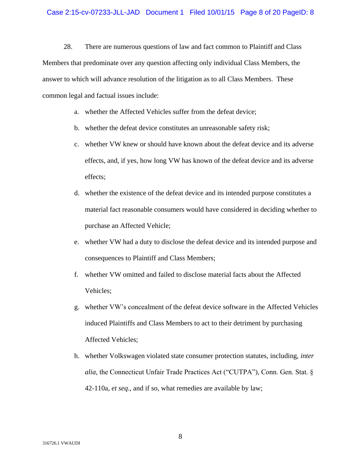28. There are numerous questions of law and fact common to Plaintiff and Class Members that predominate over any question affecting only individual Class Members, the answer to which will advance resolution of the litigation as to all Class Members. These common legal and factual issues include:

- a. whether the Affected Vehicles suffer from the defeat device;
- b. whether the defeat device constitutes an unreasonable safety risk;
- c. whether VW knew or should have known about the defeat device and its adverse effects, and, if yes, how long VW has known of the defeat device and its adverse effects;
- d. whether the existence of the defeat device and its intended purpose constitutes a material fact reasonable consumers would have considered in deciding whether to purchase an Affected Vehicle;
- e. whether VW had a duty to disclose the defeat device and its intended purpose and consequences to Plaintiff and Class Members;
- f. whether VW omitted and failed to disclose material facts about the Affected Vehicles;
- g. whether VW's concealment of the defeat device software in the Affected Vehicles induced Plaintiffs and Class Members to act to their detriment by purchasing Affected Vehicles;
- h. whether Volkswagen violated state consumer protection statutes, including, *inter alia*, the Connecticut Unfair Trade Practices Act ("CUTPA"), Conn. Gen. Stat. § 42-110a, *et seq*., and if so, what remedies are available by law;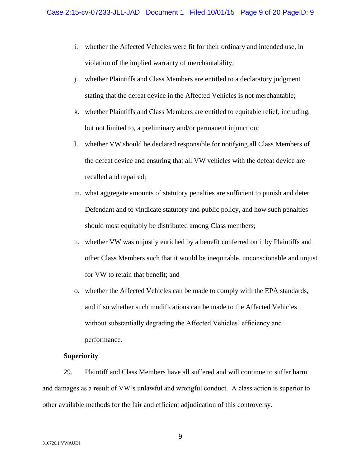- i. whether the Affected Vehicles were fit for their ordinary and intended use, in violation of the implied warranty of merchantability;
- j. whether Plaintiffs and Class Members are entitled to a declaratory judgment stating that the defeat device in the Affected Vehicles is not merchantable;
- k. whether Plaintiffs and Class Members are entitled to equitable relief, including, but not limited to, a preliminary and/or permanent injunction;
- l. whether VW should be declared responsible for notifying all Class Members of the defeat device and ensuring that all VW vehicles with the defeat device are recalled and repaired;
- m. what aggregate amounts of statutory penalties are sufficient to punish and deter Defendant and to vindicate statutory and public policy, and how such penalties should most equitably be distributed among Class members;
- n. whether VW was unjustly enriched by a benefit conferred on it by Plaintiffs and other Class Members such that it would be inequitable, unconscionable and unjust for VW to retain that benefit; and
- o. whether the Affected Vehicles can be made to comply with the EPA standards, and if so whether such modifications can be made to the Affected Vehicles without substantially degrading the Affected Vehicles' efficiency and performance.

## **Superiority**

29. Plaintiff and Class Members have all suffered and will continue to suffer harm and damages as a result of VW's unlawful and wrongful conduct. A class action is superior to other available methods for the fair and efficient adjudication of this controversy.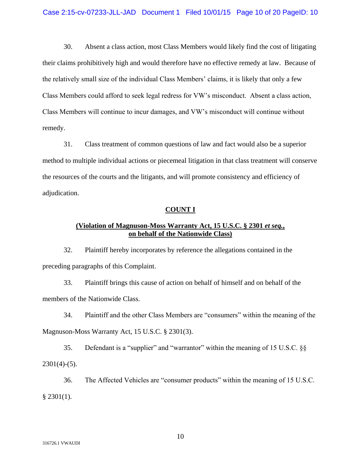30. Absent a class action, most Class Members would likely find the cost of litigating their claims prohibitively high and would therefore have no effective remedy at law. Because of the relatively small size of the individual Class Members' claims, it is likely that only a few Class Members could afford to seek legal redress for VW's misconduct. Absent a class action, Class Members will continue to incur damages, and VW's misconduct will continue without remedy.

31. Class treatment of common questions of law and fact would also be a superior method to multiple individual actions or piecemeal litigation in that class treatment will conserve the resources of the courts and the litigants, and will promote consistency and efficiency of adjudication.

## **COUNT I**

## **(Violation of Magnuson-Moss Warranty Act, 15 U.S.C. § 2301** *et seq.***, on behalf of the Nationwide Class)**

32. Plaintiff hereby incorporates by reference the allegations contained in the preceding paragraphs of this Complaint.

33. Plaintiff brings this cause of action on behalf of himself and on behalf of the members of the Nationwide Class.

34. Plaintiff and the other Class Members are "consumers" within the meaning of the Magnuson-Moss Warranty Act, 15 U.S.C. § 2301(3).

35. Defendant is a "supplier" and "warrantor" within the meaning of 15 U.S.C. §§  $2301(4)-(5)$ .

36. The Affected Vehicles are "consumer products" within the meaning of 15 U.S.C.  $§$  2301(1).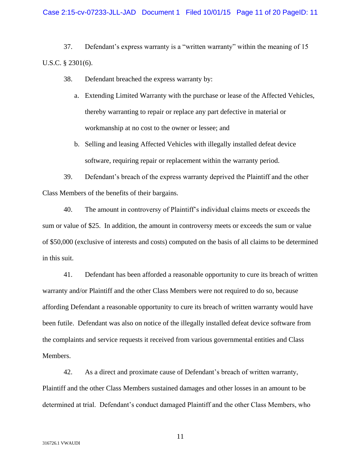## Case 2:15-cv-07233-JLL-JAD Document 1 Filed 10/01/15 Page 11 of 20 PageID: 11

37. Defendant's express warranty is a "written warranty" within the meaning of 15 U.S.C. § 2301(6).

- 38. Defendant breached the express warranty by:
	- a. Extending Limited Warranty with the purchase or lease of the Affected Vehicles, thereby warranting to repair or replace any part defective in material or workmanship at no cost to the owner or lessee; and
	- b. Selling and leasing Affected Vehicles with illegally installed defeat device software, requiring repair or replacement within the warranty period.

39. Defendant's breach of the express warranty deprived the Plaintiff and the other Class Members of the benefits of their bargains.

40. The amount in controversy of Plaintiff's individual claims meets or exceeds the sum or value of \$25. In addition, the amount in controversy meets or exceeds the sum or value of \$50,000 (exclusive of interests and costs) computed on the basis of all claims to be determined in this suit.

41. Defendant has been afforded a reasonable opportunity to cure its breach of written warranty and/or Plaintiff and the other Class Members were not required to do so, because affording Defendant a reasonable opportunity to cure its breach of written warranty would have been futile. Defendant was also on notice of the illegally installed defeat device software from the complaints and service requests it received from various governmental entities and Class Members.

42. As a direct and proximate cause of Defendant's breach of written warranty, Plaintiff and the other Class Members sustained damages and other losses in an amount to be determined at trial. Defendant's conduct damaged Plaintiff and the other Class Members, who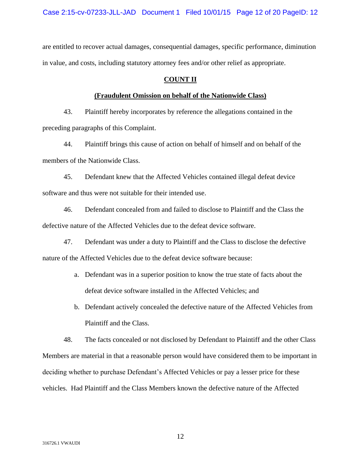are entitled to recover actual damages, consequential damages, specific performance, diminution in value, and costs, including statutory attorney fees and/or other relief as appropriate.

## **COUNT II**

## **(Fraudulent Omission on behalf of the Nationwide Class)**

43. Plaintiff hereby incorporates by reference the allegations contained in the preceding paragraphs of this Complaint.

44. Plaintiff brings this cause of action on behalf of himself and on behalf of the members of the Nationwide Class.

45. Defendant knew that the Affected Vehicles contained illegal defeat device software and thus were not suitable for their intended use.

46. Defendant concealed from and failed to disclose to Plaintiff and the Class the defective nature of the Affected Vehicles due to the defeat device software.

47. Defendant was under a duty to Plaintiff and the Class to disclose the defective nature of the Affected Vehicles due to the defeat device software because:

- a. Defendant was in a superior position to know the true state of facts about the defeat device software installed in the Affected Vehicles; and
- b. Defendant actively concealed the defective nature of the Affected Vehicles from Plaintiff and the Class.

48. The facts concealed or not disclosed by Defendant to Plaintiff and the other Class Members are material in that a reasonable person would have considered them to be important in deciding whether to purchase Defendant's Affected Vehicles or pay a lesser price for these vehicles. Had Plaintiff and the Class Members known the defective nature of the Affected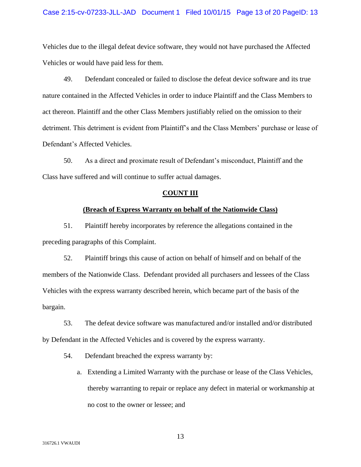## Case 2:15-cv-07233-JLL-JAD Document 1 Filed 10/01/15 Page 13 of 20 PageID: 13

Vehicles due to the illegal defeat device software, they would not have purchased the Affected Vehicles or would have paid less for them.

49. Defendant concealed or failed to disclose the defeat device software and its true nature contained in the Affected Vehicles in order to induce Plaintiff and the Class Members to act thereon. Plaintiff and the other Class Members justifiably relied on the omission to their detriment. This detriment is evident from Plaintiff's and the Class Members' purchase or lease of Defendant's Affected Vehicles.

50. As a direct and proximate result of Defendant's misconduct, Plaintiff and the Class have suffered and will continue to suffer actual damages.

## **COUNT III**

## **(Breach of Express Warranty on behalf of the Nationwide Class)**

51. Plaintiff hereby incorporates by reference the allegations contained in the preceding paragraphs of this Complaint.

52. Plaintiff brings this cause of action on behalf of himself and on behalf of the members of the Nationwide Class. Defendant provided all purchasers and lessees of the Class Vehicles with the express warranty described herein, which became part of the basis of the bargain.

53. The defeat device software was manufactured and/or installed and/or distributed by Defendant in the Affected Vehicles and is covered by the express warranty.

54. Defendant breached the express warranty by:

a. Extending a Limited Warranty with the purchase or lease of the Class Vehicles, thereby warranting to repair or replace any defect in material or workmanship at no cost to the owner or lessee; and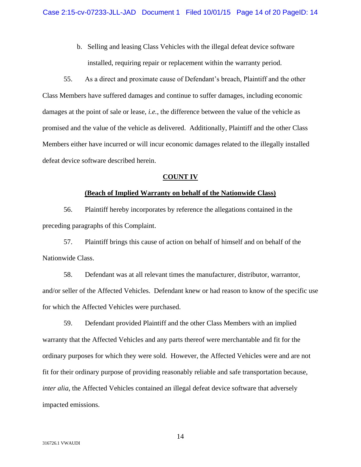b. Selling and leasing Class Vehicles with the illegal defeat device software installed, requiring repair or replacement within the warranty period.

55. As a direct and proximate cause of Defendant's breach, Plaintiff and the other Class Members have suffered damages and continue to suffer damages, including economic damages at the point of sale or lease, *i.e.*, the difference between the value of the vehicle as promised and the value of the vehicle as delivered. Additionally, Plaintiff and the other Class Members either have incurred or will incur economic damages related to the illegally installed defeat device software described herein.

## **COUNT IV**

## **(Beach of Implied Warranty on behalf of the Nationwide Class)**

56. Plaintiff hereby incorporates by reference the allegations contained in the preceding paragraphs of this Complaint.

57. Plaintiff brings this cause of action on behalf of himself and on behalf of the Nationwide Class.

58. Defendant was at all relevant times the manufacturer, distributor, warrantor, and/or seller of the Affected Vehicles. Defendant knew or had reason to know of the specific use for which the Affected Vehicles were purchased.

59. Defendant provided Plaintiff and the other Class Members with an implied warranty that the Affected Vehicles and any parts thereof were merchantable and fit for the ordinary purposes for which they were sold. However, the Affected Vehicles were and are not fit for their ordinary purpose of providing reasonably reliable and safe transportation because, *inter alia*, the Affected Vehicles contained an illegal defeat device software that adversely impacted emissions.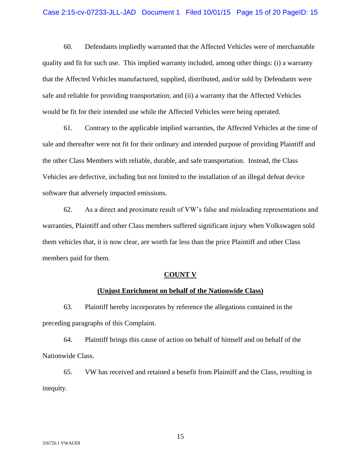## Case 2:15-cv-07233-JLL-JAD Document 1 Filed 10/01/15 Page 15 of 20 PageID: 15

60. Defendants impliedly warranted that the Affected Vehicles were of merchantable quality and fit for such use. This implied warranty included, among other things: (i) a warranty that the Affected Vehicles manufactured, supplied, distributed, and/or sold by Defendants were safe and reliable for providing transportation; and (ii) a warranty that the Affected Vehicles would be fit for their intended use while the Affected Vehicles were being operated.

61. Contrary to the applicable implied warranties, the Affected Vehicles at the time of sale and thereafter were not fit for their ordinary and intended purpose of providing Plaintiff and the other Class Members with reliable, durable, and safe transportation. Instead, the Class Vehicles are defective, including but not limited to the installation of an illegal defeat device software that adversely impacted emissions.

62. As a direct and proximate result of VW's false and misleading representations and warranties, Plaintiff and other Class members suffered significant injury when Volkswagen sold them vehicles that, it is now clear, are worth far less than the price Plaintiff and other Class members paid for them.

## **COUNT V**

## **(Unjust Enrichment on behalf of the Nationwide Class)**

63. Plaintiff hereby incorporates by reference the allegations contained in the preceding paragraphs of this Complaint.

64. Plaintiff brings this cause of action on behalf of himself and on behalf of the Nationwide Class.

65. VW has received and retained a benefit from Plaintiff and the Class, resulting in inequity.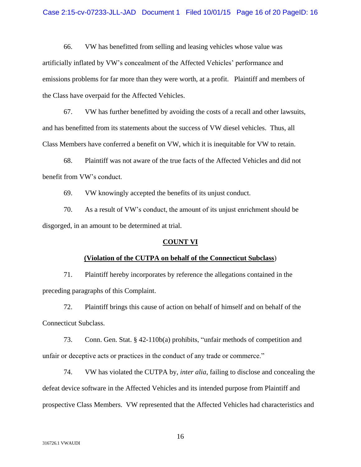## Case 2:15-cv-07233-JLL-JAD Document 1 Filed 10/01/15 Page 16 of 20 PageID: 16

66. VW has benefitted from selling and leasing vehicles whose value was artificially inflated by VW's concealment of the Affected Vehicles' performance and emissions problems for far more than they were worth, at a profit. Plaintiff and members of the Class have overpaid for the Affected Vehicles.

67. VW has further benefitted by avoiding the costs of a recall and other lawsuits, and has benefitted from its statements about the success of VW diesel vehicles. Thus, all Class Members have conferred a benefit on VW, which it is inequitable for VW to retain.

68. Plaintiff was not aware of the true facts of the Affected Vehicles and did not benefit from VW's conduct.

69. VW knowingly accepted the benefits of its unjust conduct.

70. As a result of VW's conduct, the amount of its unjust enrichment should be disgorged, in an amount to be determined at trial.

#### **COUNT VI**

#### **(Violation of the CUTPA on behalf of the Connecticut Subclass**)

71. Plaintiff hereby incorporates by reference the allegations contained in the preceding paragraphs of this Complaint.

72. Plaintiff brings this cause of action on behalf of himself and on behalf of the Connecticut Subclass.

73. Conn. Gen. Stat. § 42-110b(a) prohibits, "unfair methods of competition and unfair or deceptive acts or practices in the conduct of any trade or commerce."

74. VW has violated the CUTPA by, *inter alia*, failing to disclose and concealing the defeat device software in the Affected Vehicles and its intended purpose from Plaintiff and prospective Class Members. VW represented that the Affected Vehicles had characteristics and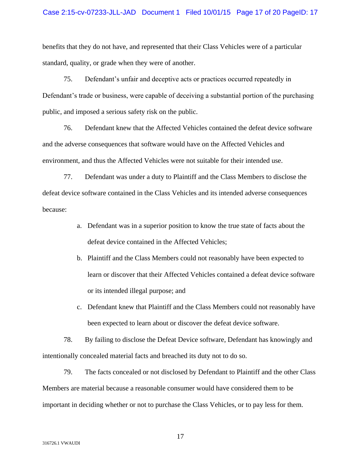## Case 2:15-cv-07233-JLL-JAD Document 1 Filed 10/01/15 Page 17 of 20 PageID: 17

benefits that they do not have, and represented that their Class Vehicles were of a particular standard, quality, or grade when they were of another.

75. Defendant's unfair and deceptive acts or practices occurred repeatedly in Defendant's trade or business, were capable of deceiving a substantial portion of the purchasing public, and imposed a serious safety risk on the public.

76. Defendant knew that the Affected Vehicles contained the defeat device software and the adverse consequences that software would have on the Affected Vehicles and environment, and thus the Affected Vehicles were not suitable for their intended use.

77. Defendant was under a duty to Plaintiff and the Class Members to disclose the defeat device software contained in the Class Vehicles and its intended adverse consequences because:

- a. Defendant was in a superior position to know the true state of facts about the defeat device contained in the Affected Vehicles;
- b. Plaintiff and the Class Members could not reasonably have been expected to learn or discover that their Affected Vehicles contained a defeat device software or its intended illegal purpose; and
- c. Defendant knew that Plaintiff and the Class Members could not reasonably have been expected to learn about or discover the defeat device software.

78. By failing to disclose the Defeat Device software, Defendant has knowingly and intentionally concealed material facts and breached its duty not to do so.

79. The facts concealed or not disclosed by Defendant to Plaintiff and the other Class Members are material because a reasonable consumer would have considered them to be important in deciding whether or not to purchase the Class Vehicles, or to pay less for them.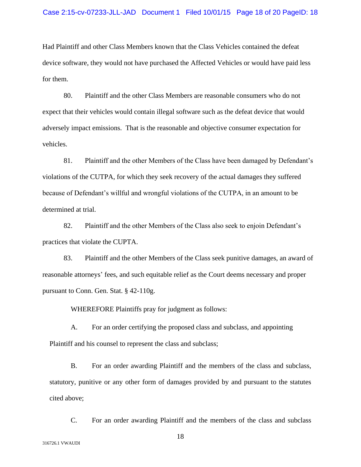Had Plaintiff and other Class Members known that the Class Vehicles contained the defeat device software, they would not have purchased the Affected Vehicles or would have paid less for them.

80. Plaintiff and the other Class Members are reasonable consumers who do not expect that their vehicles would contain illegal software such as the defeat device that would adversely impact emissions. That is the reasonable and objective consumer expectation for vehicles.

81. Plaintiff and the other Members of the Class have been damaged by Defendant's violations of the CUTPA, for which they seek recovery of the actual damages they suffered because of Defendant's willful and wrongful violations of the CUTPA, in an amount to be determined at trial.

82. Plaintiff and the other Members of the Class also seek to enjoin Defendant's practices that violate the CUPTA.

83. Plaintiff and the other Members of the Class seek punitive damages, an award of reasonable attorneys' fees, and such equitable relief as the Court deems necessary and proper pursuant to Conn. Gen. Stat. § 42-110g.

WHEREFORE Plaintiffs pray for judgment as follows:

A. For an order certifying the proposed class and subclass, and appointing Plaintiff and his counsel to represent the class and subclass;

B. For an order awarding Plaintiff and the members of the class and subclass, statutory, punitive or any other form of damages provided by and pursuant to the statutes cited above;

C. For an order awarding Plaintiff and the members of the class and subclass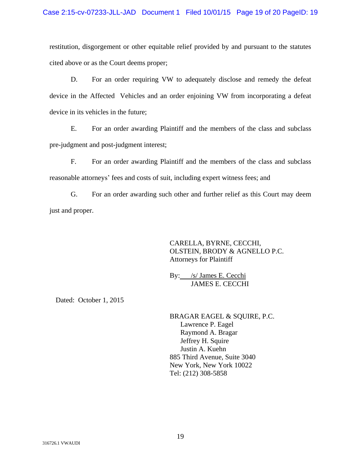restitution, disgorgement or other equitable relief provided by and pursuant to the statutes cited above or as the Court deems proper;

D. For an order requiring VW to adequately disclose and remedy the defeat device in the Affected Vehicles and an order enjoining VW from incorporating a defeat device in its vehicles in the future;

E. For an order awarding Plaintiff and the members of the class and subclass pre-judgment and post-judgment interest;

F. For an order awarding Plaintiff and the members of the class and subclass reasonable attorneys' fees and costs of suit, including expert witness fees; and

G. For an order awarding such other and further relief as this Court may deem just and proper.

> CARELLA, BYRNE, CECCHI, OLSTEIN, BRODY & AGNELLO P.C. Attorneys for Plaintiff

By: /s/ James E. Cecchi JAMES E. CECCHI

Dated: October 1, 2015

BRAGAR EAGEL & SQUIRE, P.C. Lawrence P. Eagel Raymond A. Bragar Jeffrey H. Squire Justin A. Kuehn 885 Third Avenue, Suite 3040 New York, New York 10022 Tel: (212) 308-5858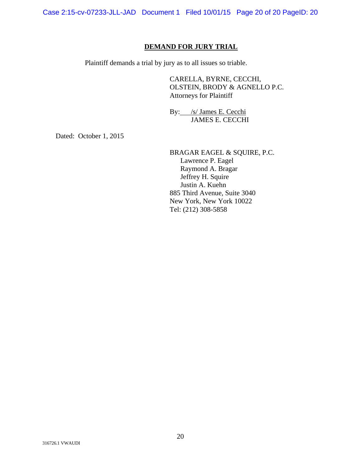Case 2:15-cv-07233-JLL-JAD Document 1 Filed 10/01/15 Page 20 of 20 PageID: 20

## **DEMAND FOR JURY TRIAL**

Plaintiff demands a trial by jury as to all issues so triable.

CARELLA, BYRNE, CECCHI, OLSTEIN, BRODY & AGNELLO P.C. Attorneys for Plaintiff

By: /s/ James E. Cecchi JAMES E. CECCHI

Dated: October 1, 2015

BRAGAR EAGEL & SQUIRE, P.C. Lawrence P. Eagel Raymond A. Bragar Jeffrey H. Squire Justin A. Kuehn 885 Third Avenue, Suite 3040 New York, New York 10022 Tel: (212) 308-5858